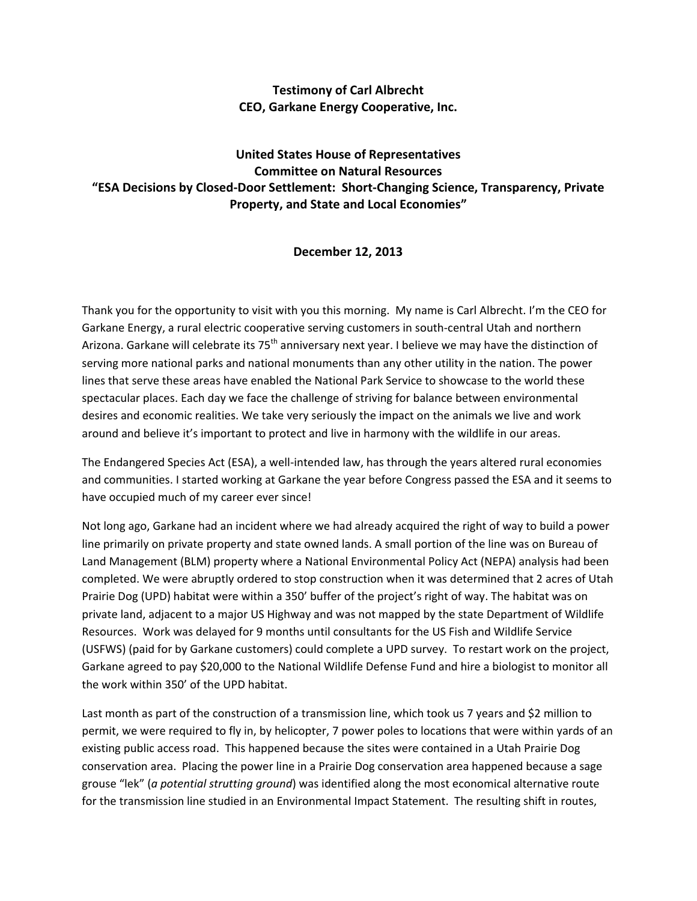## **Testimony of Carl Albrecht CEO, Garkane Energy Cooperative, Inc.**

## **United States House of Representatives Committee on Natural Resources "ESA Decisions by Closed‐Door Settlement: Short‐Changing Science, Transparency, Private Property, and State and Local Economies"**

## **December 12, 2013**

Thank you for the opportunity to visit with you this morning. My name is Carl Albrecht. I'm the CEO for Garkane Energy, a rural electric cooperative serving customers in south‐central Utah and northern Arizona. Garkane will celebrate its 75<sup>th</sup> anniversary next year. I believe we may have the distinction of serving more national parks and national monuments than any other utility in the nation. The power lines that serve these areas have enabled the National Park Service to showcase to the world these spectacular places. Each day we face the challenge of striving for balance between environmental desires and economic realities. We take very seriously the impact on the animals we live and work around and believe it's important to protect and live in harmony with the wildlife in our areas.

The Endangered Species Act (ESA), a well‐intended law, has through the years altered rural economies and communities. I started working at Garkane the year before Congress passed the ESA and it seems to have occupied much of my career ever since!

Not long ago, Garkane had an incident where we had already acquired the right of way to build a power line primarily on private property and state owned lands. A small portion of the line was on Bureau of Land Management (BLM) property where a National Environmental Policy Act (NEPA) analysis had been completed. We were abruptly ordered to stop construction when it was determined that 2 acres of Utah Prairie Dog (UPD) habitat were within a 350' buffer of the project's right of way. The habitat was on private land, adjacent to a major US Highway and was not mapped by the state Department of Wildlife Resources. Work was delayed for 9 months until consultants for the US Fish and Wildlife Service (USFWS) (paid for by Garkane customers) could complete a UPD survey. To restart work on the project, Garkane agreed to pay \$20,000 to the National Wildlife Defense Fund and hire a biologist to monitor all the work within 350' of the UPD habitat.

Last month as part of the construction of a transmission line, which took us 7 years and \$2 million to permit, we were required to fly in, by helicopter, 7 power poles to locations that were within yards of an existing public access road. This happened because the sites were contained in a Utah Prairie Dog conservation area. Placing the power line in a Prairie Dog conservation area happened because a sage grouse "lek" (*a potential strutting ground*) was identified along the most economical alternative route for the transmission line studied in an Environmental Impact Statement. The resulting shift in routes,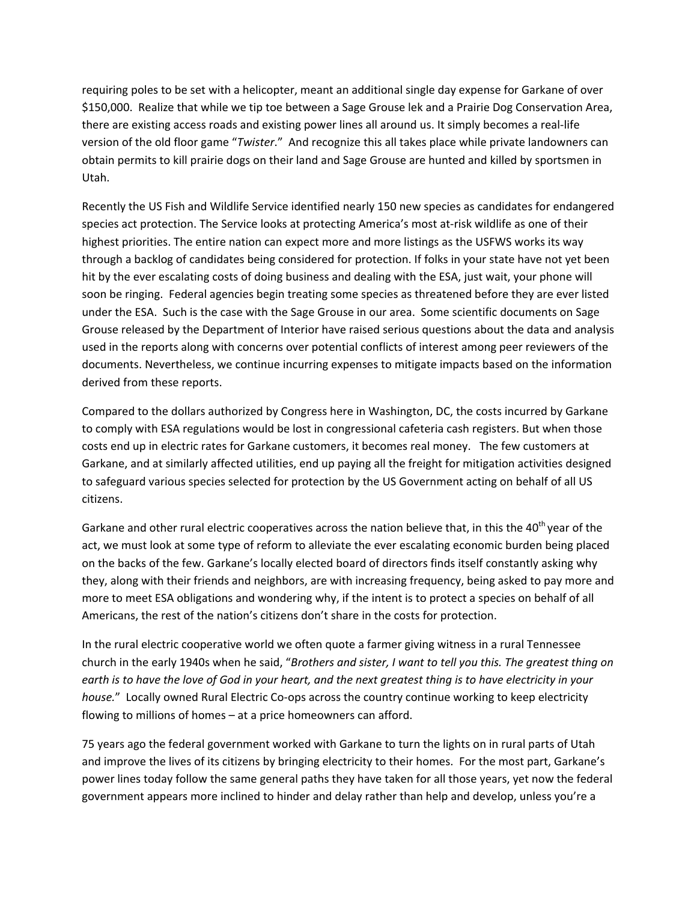requiring poles to be set with a helicopter, meant an additional single day expense for Garkane of over \$150,000. Realize that while we tip toe between a Sage Grouse lek and a Prairie Dog Conservation Area, there are existing access roads and existing power lines all around us. It simply becomes a real‐life version of the old floor game "*Twister*." And recognize this all takes place while private landowners can obtain permits to kill prairie dogs on their land and Sage Grouse are hunted and killed by sportsmen in Utah.

Recently the US Fish and Wildlife Service identified nearly 150 new species as candidates for endangered species act protection. The Service looks at protecting America's most at-risk wildlife as one of their highest priorities. The entire nation can expect more and more listings as the USFWS works its way through a backlog of candidates being considered for protection. If folks in your state have not yet been hit by the ever escalating costs of doing business and dealing with the ESA, just wait, your phone will soon be ringing. Federal agencies begin treating some species as threatened before they are ever listed under the ESA. Such is the case with the Sage Grouse in our area. Some scientific documents on Sage Grouse released by the Department of Interior have raised serious questions about the data and analysis used in the reports along with concerns over potential conflicts of interest among peer reviewers of the documents. Nevertheless, we continue incurring expenses to mitigate impacts based on the information derived from these reports.

Compared to the dollars authorized by Congress here in Washington, DC, the costs incurred by Garkane to comply with ESA regulations would be lost in congressional cafeteria cash registers. But when those costs end up in electric rates for Garkane customers, it becomes real money. The few customers at Garkane, and at similarly affected utilities, end up paying all the freight for mitigation activities designed to safeguard various species selected for protection by the US Government acting on behalf of all US citizens.

Garkane and other rural electric cooperatives across the nation believe that, in this the 40<sup>th</sup> year of the act, we must look at some type of reform to alleviate the ever escalating economic burden being placed on the backs of the few. Garkane's locally elected board of directors finds itself constantly asking why they, along with their friends and neighbors, are with increasing frequency, being asked to pay more and more to meet ESA obligations and wondering why, if the intent is to protect a species on behalf of all Americans, the rest of the nation's citizens don't share in the costs for protection.

In the rural electric cooperative world we often quote a farmer giving witness in a rural Tennessee church in the early 1940s when he said, "*Brothers and sister, I want to tell you this. The greatest thing on* earth is to have the love of God in your heart, and the next greatest thing is to have electricity in your *house."* Locally owned Rural Electric Co-ops across the country continue working to keep electricity flowing to millions of homes – at a price homeowners can afford.

75 years ago the federal government worked with Garkane to turn the lights on in rural parts of Utah and improve the lives of its citizens by bringing electricity to their homes. For the most part, Garkane's power lines today follow the same general paths they have taken for all those years, yet now the federal government appears more inclined to hinder and delay rather than help and develop, unless you're a